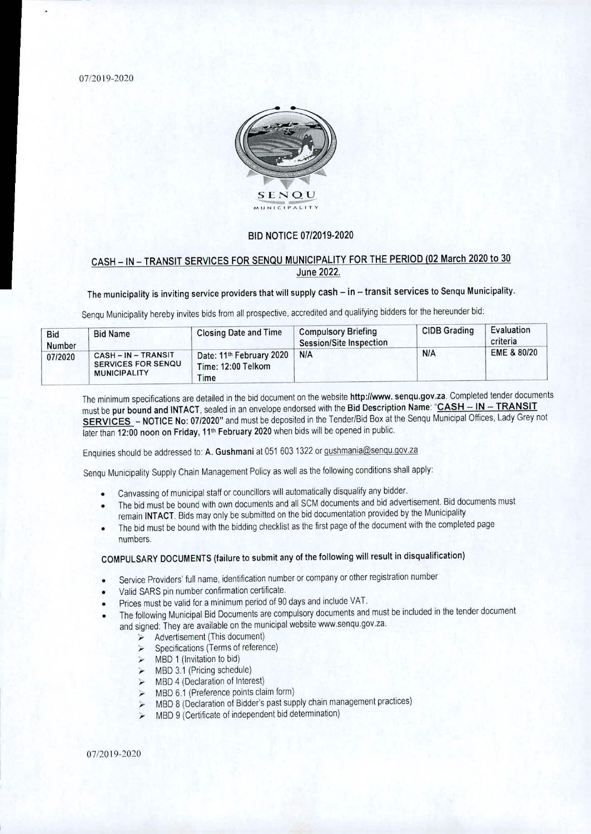07/2019-2020



#### BID NOTICE 07/2019-2020

### CASH — IN — TRANSIT SERVICES FOR SENQU MUNICIPALITY FOR THE PERIOD (02 March 2020 to 30 June 2022.

## The municipality is inviting service providers that will supply cash - in - transit services to Senqu Municipality.

Senqu Municipality hereby invites bids from all prospective, accredited and qualifying bidders for the hereunder bid:

| <b>Bid</b><br>Number | <b>Bid Name</b>                                                     | <b>Closing Date and Time</b>                                       | <b>Compulsory Briefing</b><br>Session/Site Inspection | <b>CIDB Grading</b> | Evaluation<br>criteria |
|----------------------|---------------------------------------------------------------------|--------------------------------------------------------------------|-------------------------------------------------------|---------------------|------------------------|
| 07/2020              | CASH-IN-TRANSIT<br><b>SERVICES FOR SENQU</b><br><b>MUNICIPALITY</b> | Date: 11 <sup>th</sup> February 2020<br>Time: 12:00 Telkom<br>Time | N/A                                                   | <b>N/A</b>          | EME & 80/20            |

The minimum specifications are detailed in the bid document on the website http://www.senqu.gov.za. Completed tender documents must be pur bound and INTACT, sealed in an envelope endorsed with the Bid Description Name: **"CASH — IN — TRANSIT**  SERVICES - NOTICE No: 07/2020" and must be deposited in the Tender/Bid Box at the Senqu Municipal Offices, Lady Grey not later than 12:00 noon on Friday, 11<sup>th</sup> February 2020 when bids will be opened in public.

Enquiries should be addressed to: A. Gushmani at 051 603 1322 or gushmania@senqu.gov.za

Senqu Municipality Supply Chain Management Policy as well as the following conditions shall apply:

- Canvassing of municipal staff or councillors will automatically disqualify any bidder.  $\bullet$
- The bid must be bound with own documents and all SCM documents and bid advertisement. Bid documents must remain **INTACT.** Bids may only be submitted on the bid documentation provided by the Municipality
- The bid must be bound with the bidding checklist as the first page of the document with the completed page numbers.

# COMPULSARY DOCUMENTS (failure to submit any of the following will result in disqualification)

- Service Providers' full name, identification number or company or other registration number
- Valid SARS pin number confirmation certificate.
- Prices must be valid for a minimum period of 90 days and include VAT.
- The following Municipal Bid Documents are compulsory documents and must be included in the tender document and signed: They are available on the municipal website www.senqu.gov.za.
	- $\geq$  Advertisement (This document)
	- $\triangleright$  Specifications (Terms of reference)
	- $>$  MBD 1 (Invitation to bid)
	- $\triangleright$  MBD 3.1 (Pricing schedule)
	- $\triangleright$  MBD 4 (Declaration of Interest)
	- $\triangleright$  MBD 6.1 (Preference points claim form)
	- > MBD 8 (Declaration of Bidder's past supply chain management practices)
	- $\triangleright$  MBD 9 (Certificate of independent bid determination)

07/2019-2020